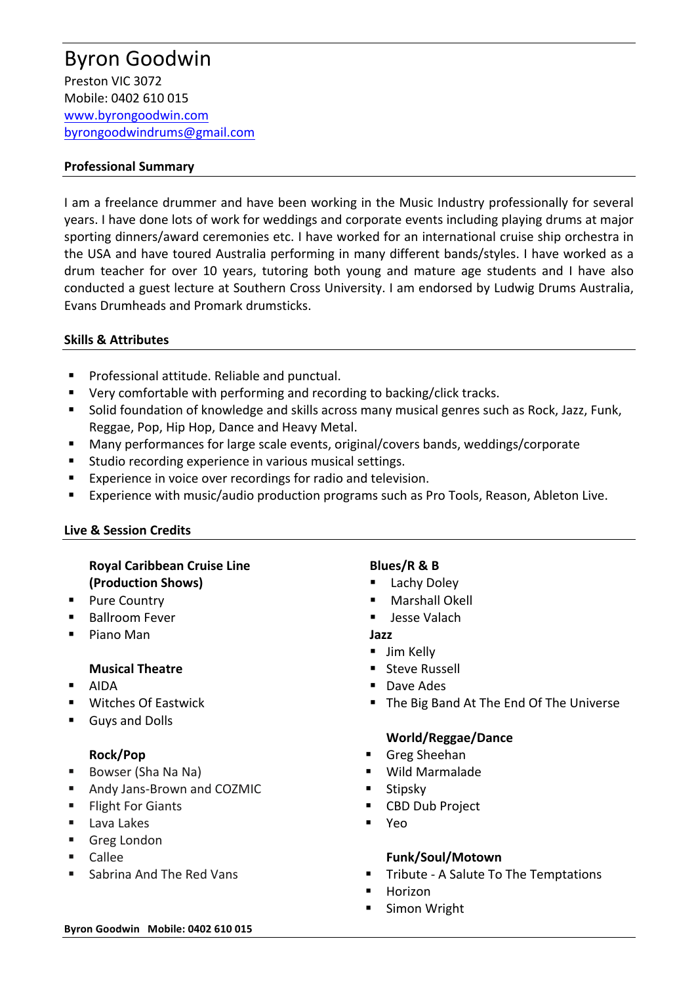## **Professional Summary**

I am a freelance drummer and have been working in the Music Industry professionally for several years. I have done lots of work for weddings and corporate events including playing drums at major sporting dinners/award ceremonies etc. I have worked for an international cruise ship orchestra in the USA and have toured Australia performing in many different bands/styles. I have worked as a drum teacher for over 10 years, tutoring both young and mature age students and I have also conducted a guest lecture at Southern Cross University. I am endorsed by Ludwig Drums Australia, Evans Drumheads and Promark drumsticks.

## **Skills & Attributes**

- Professional attitude. Reliable and punctual.
- Very comfortable with performing and recording to backing/click tracks.
- Solid foundation of knowledge and skills across many musical genres such as Rock, Jazz, Funk, Reggae, Pop, Hip Hop, Dance and Heavy Metal.
- Many performances for large scale events, original/covers bands, weddings/corporate
- Studio recording experience in various musical settings.
- Experience in voice over recordings for radio and television.
- Experience with music/audio production programs such as Pro Tools, Reason, Ableton Live.

## **Live & Session Credits**

# **Royal Caribbean Cruise Line (Production Shows)**

- Pure Country
- Ballroom Fever
- Piano Man

## **Musical Theatre**

- § AIDA
- Witches Of Eastwick
- § Guys and Dolls

## **Rock/Pop**

- Bowser (Sha Na Na)
- Andy Jans-Brown and COZMIC
- Flight For Giants
- Lava Lakes
- Greg London
- § Callee
- § Sabrina And The Red Vans

## **Blues/R & B**

- Lachy Doley
- § Marshall Okell
- § Jesse Valach

## **Jazz**

- Jim Kelly
- Steve Russell
- Dave Ades
- The Big Band At The End Of The Universe

# **World/Reggae/Dance**

- § Greg Sheehan
- § Wild Marmalade
- **Stipsky**
- CBD Dub Project
- § Yeo

# **Funk/Soul/Motown**

- § Tribute A Salute To The Temptations
- **Horizon**
- Simon Wright

#### **Byron Goodwin Mobile: 0402 610 015**